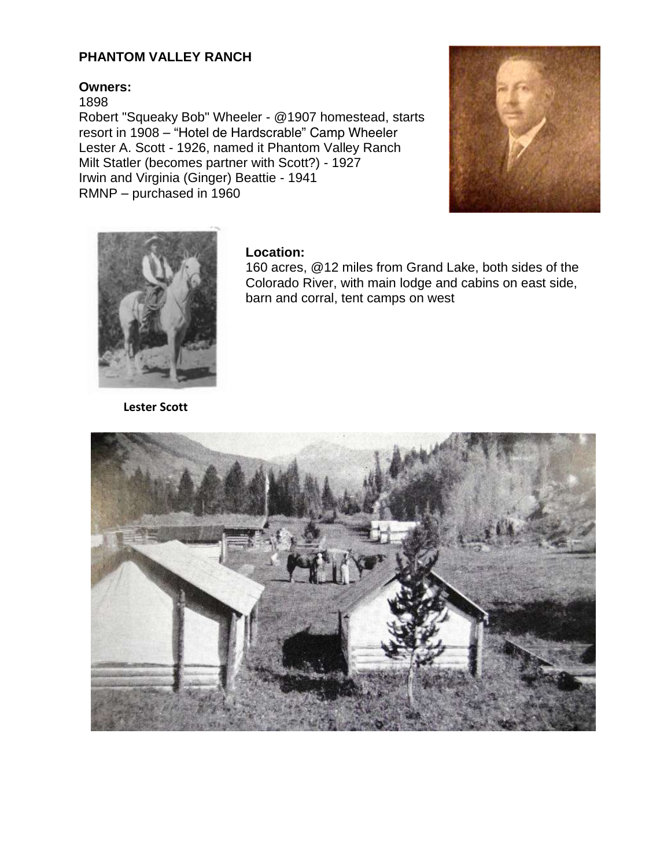## **PHANTOM VALLEY RANCH**

## **Owners:**

1898

Robert "Squeaky Bob" Wheeler - @1907 homestead, starts resort in 1908 – "Hotel de Hardscrable" Camp Wheeler Lester A. Scott - 1926, named it Phantom Valley Ranch Milt Statler (becomes partner with Scott?) - 1927 Irwin and Virginia (Ginger) Beattie - 1941 RMNP – purchased in 1960





## **Location:**

160 acres, @12 miles from Grand Lake, both sides of the Colorado River, with main lodge and cabins on east side, barn and corral, tent camps on west

**Lester Scott**

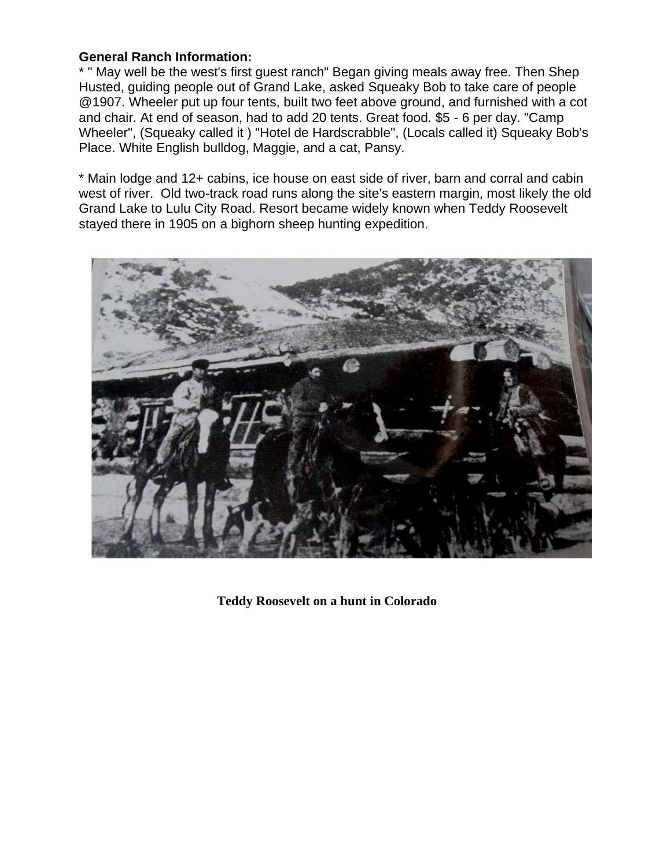## **General Ranch Information:**

\* " May well be the west's first guest ranch" Began giving meals away free. Then Shep Husted, guiding people out of Grand Lake, asked Squeaky Bob to take care of people @1907. Wheeler put up four tents, built two feet above ground, and furnished with a cot and chair. At end of season, had to add 20 tents. Great food. \$5 - 6 per day. "Camp Wheeler", (Squeaky called it ) "Hotel de Hardscrabble", (Locals called it) Squeaky Bob's Place. White English bulldog, Maggie, and a cat, Pansy.

\* Main lodge and 12+ cabins, ice house on east side of river, barn and corral and cabin west of river. Old two-track road runs along the site's eastern margin, most likely the old Grand Lake to Lulu City Road. Resort became widely known when Teddy Roosevelt stayed there in 1905 on a bighorn sheep hunting expedition.



**Teddy Roosevelt on a hunt in Colorado**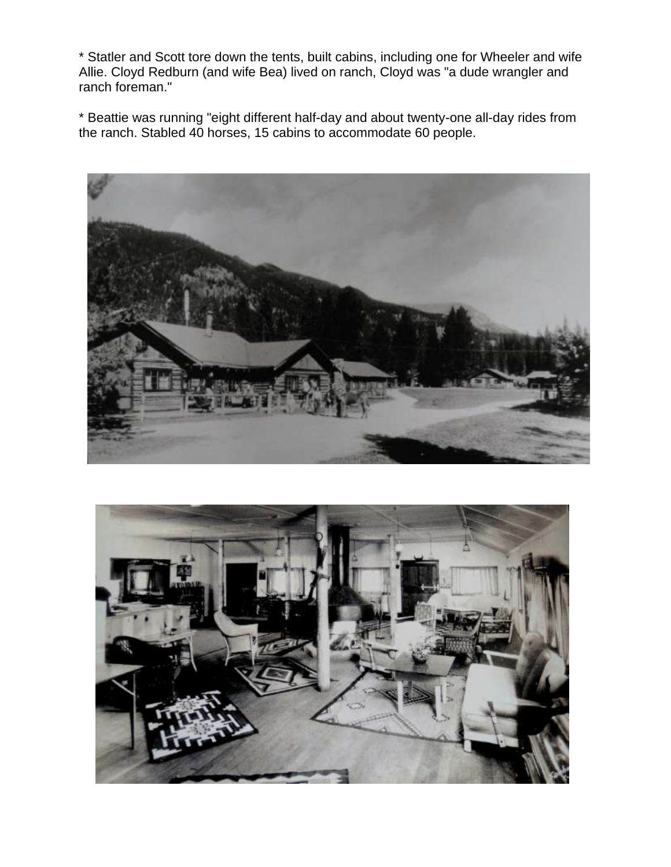\* Statler and Scott tore down the tents, built cabins, including one for Wheeler and wife Allie. Cloyd Redburn (and wife Bea) lived on ranch, Cloyd was "a dude wrangler and ranch foreman."

\* Beattie was running "eight different half-day and about twenty-one all-day rides from the ranch. Stabled 40 horses, 15 cabins to accommodate 60 people.